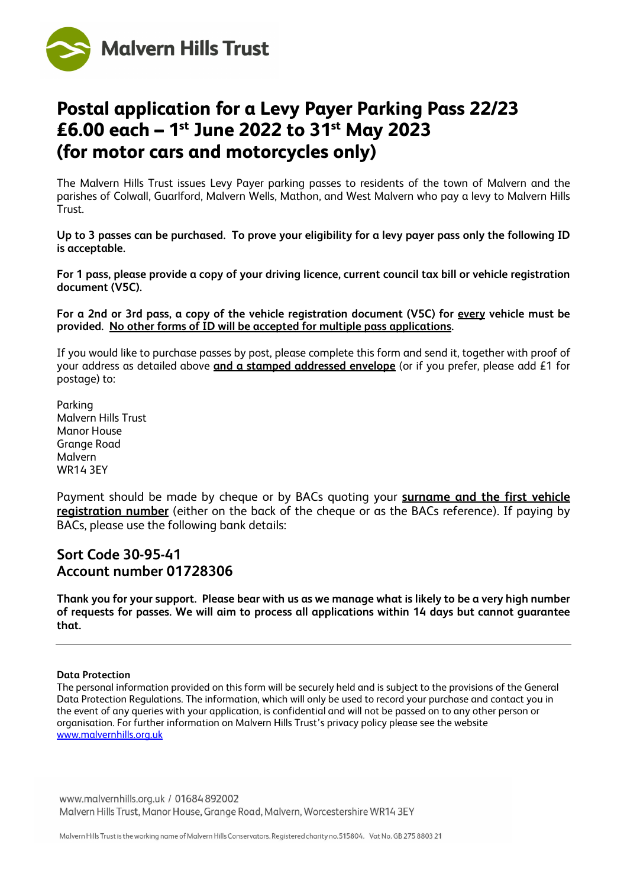

# **Postal application for a Levy Payer Parking Pass 22/23 £6.00 each – 1st June 2022 to 31st May 2023 (for motor cars and motorcycles only)**

The Malvern Hills Trust issues Levy Payer parking passes to residents of the town of Malvern and the parishes of Colwall, Guarlford, Malvern Wells, Mathon, and West Malvern who pay a levy to Malvern Hills Trust.

**Up to 3 passes can be purchased. To prove your eligibility for a levy payer pass only the following ID is acceptable.** 

**For 1 pass, please provide a copy of your driving licence, current council tax bill or vehicle registration document (V5C).**

**For a 2nd or 3rd pass, a copy of the vehicle registration document (V5C) for every vehicle must be provided. No other forms of ID will be accepted for multiple pass applications.** 

If you would like to purchase passes by post, please complete this form and send it, together with proof of your address as detailed above **and a stamped addressed envelope** (or if you prefer, please add £1 for postage) to:

Parking Malvern Hills Trust Manor House Grange Road Malvern WR14 3EY

Payment should be made by cheque or by BACs quoting your **surname and the first vehicle registration number** (either on the back of the cheque or as the BACs reference). If paying by BACs, please use the following bank details:

# **Sort Code 30-95-41 Account number 01728306**

**Thank you for your support. Please bear with us as we manage what is likely to be a very high number of requests for passes. We will aim to process all applications within 14 days but cannot guarantee that.**

#### **Data Protection**

The personal information provided on this form will be securely held and is subject to the provisions of the General Data Protection Regulations. The information, which will only be used to record your purchase and contact you in the event of any queries with your application, is confidential and will not be passed on to any other person or organisation. For further information on Malvern Hills Trust's privacy policy please see the website [www.malvernhills.org.uk](http://www.malvernhills.org.uk/)

www.malvernhills.org.uk / 01684 892002 Malvern Hills Trust, Manor House, Grange Road, Malvern, Worcestershire WR14 3EY